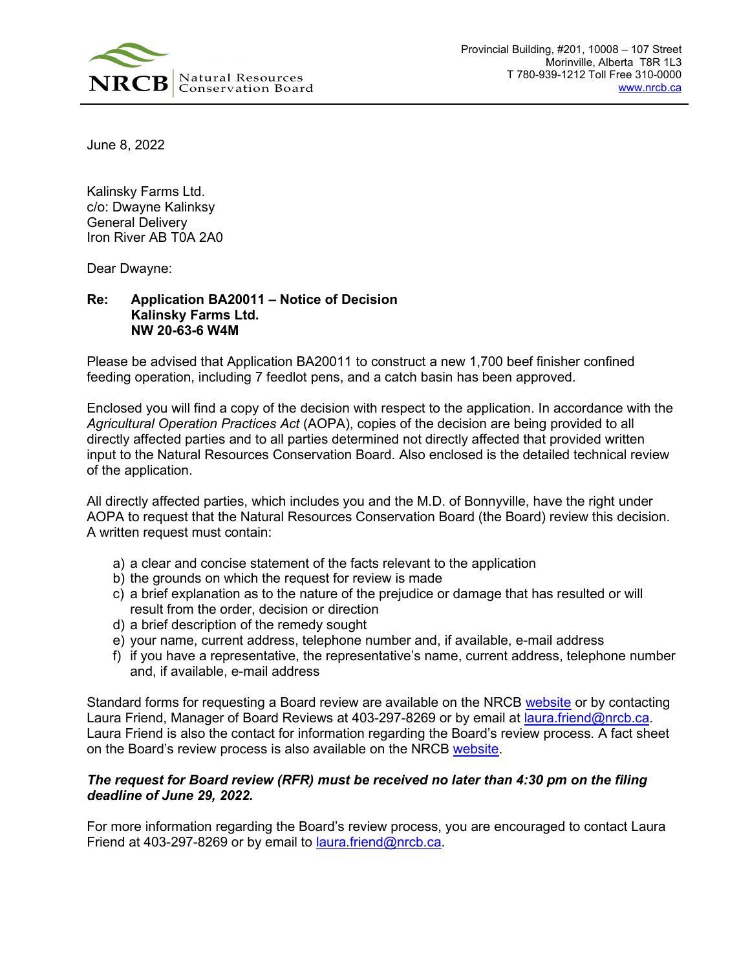

June 8, 2022

Kalinsky Farms Ltd. c/o: Dwayne Kalinksy General Delivery Iron River AB T0A 2A0

Dear Dwayne:

## **Re: Application BA20011 – Notice of Decision Kalinsky Farms Ltd. NW 20-63-6 W4M**

Please be advised that Application BA20011 to construct a new 1,700 beef finisher confined feeding operation, including 7 feedlot pens, and a catch basin has been approved.

Enclosed you will find a copy of the decision with respect to the application. In accordance with the *Agricultural Operation Practices Act* (AOPA), copies of the decision are being provided to all directly affected parties and to all parties determined not directly affected that provided written input to the Natural Resources Conservation Board. Also enclosed is the detailed technical review of the application.

All directly affected parties, which includes you and the M.D. of Bonnyville, have the right under AOPA to request that the Natural Resources Conservation Board (the Board) review this decision. A written request must contain:

- a) a clear and concise statement of the facts relevant to the application
- b) the grounds on which the request for review is made
- c) a brief explanation as to the nature of the prejudice or damage that has resulted or will result from the order, decision or direction
- d) a brief description of the remedy sought
- e) your name, current address, telephone number and, if available, e-mail address
- f) if you have a representative, the representative's name, current address, telephone number and, if available, e-mail address

Standard forms for requesting a Board review are available on the NRCB [website](https://www.nrcb.ca/confined-feeding-operations/board-reviews-court-decisions-revamp/fact-sheets-and-forms) or by contacting Laura Friend, Manager of Board Reviews at 403-297-8269 or by email at [laura.friend@nrcb.ca.](mailto:laura.friend@nrcb.ca) Laura Friend is also the contact for information regarding the Board's review process. A fact sheet on the Board's review process is also available on the NRCB [website.](https://www.nrcb.ca/public/download/files/97583)

## *The request for Board review (RFR) must be received no later than 4:30 pm on the filing deadline of June 29, 2022.*

For more information regarding the Board's review process, you are encouraged to contact Laura Friend at 403-297-8269 or by email to **laura.friend@nrcb.ca**.